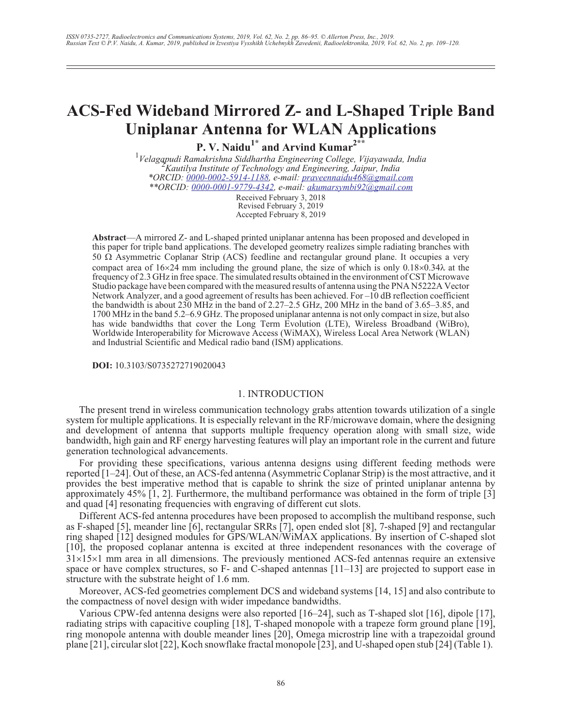# **ACS-Fed Wideband Mirrored Z- and L-Shaped Triple Band Uniplanar Antenna for WLAN Applications**

**P. V. Naidu1\* and Arvind Kumar2\*\***

<sup>1</sup>Velagapudi Ramakrishna Siddhartha Engineering College, Vijayawada, India<br><sup>2</sup> Kaytibya Institute of Tashnolom and Engineering, Jaimur India *Kautilya Institute of Technology and Engineering, Jaipur, India \*ORCID: [0000-0002-5914-1188,](http://orcid.org/0000-0002-5914-1188) e-mail: [praveennaidu468@gmail.com](mailto:praveennaidu468@gmail.com) \*\*ORCID: [0000-0001-9779-4342](http://orcid.org/0000-0001-7640-8975), e-mail: [akumarsymbi92@gmail.com](mailto:akumarsymbi92@gmail.com)*

Received February 3, 2018 Revised February 3, 2019 Accepted February 8, 2019

**Abstract**—A mirrored Z- and L-shaped printed uniplanar antenna has been proposed and developed in this paper for triple band applications. The developed geometry realizes simple radiating branches with 50  $\Omega$  Asymmetric Coplanar Strip (ACS) feedline and rectangular ground plane. It occupies a very compact area of  $16\times24$  mm including the ground plane, the size of which is only  $0.18\times0.34\lambda$  at the frequency of 2.3 GHz in free space. The simulated results obtained in the environment of CST Microwave Studio package have been compared with the measured results of antenna using the PNA N5222A Vector Network Analyzer, and a good agreement of results has been achieved. For –10 dB reflection coefficient the bandwidth is about 230 MHz in the band of 2.27–2.5 GHz, 200 MHz in the band of 3.65–3.85, and 1700 MHz in the band 5.2–6.9 GHz. The proposed uniplanar antenna is not only compact in size, but also has wide bandwidths that cover the Long Term Evolution (LTE), Wireless Broadband (WiBro), Worldwide Interoperability for Microwave Access (WiMAX), Wireless Local Area Network (WLAN) and Industrial Scientific and Medical radio band (ISM) applications.

**DOI:** 10.3103/S0735272719020043

## 1. INTRODUCTION

The present trend in wireless communication technology grabs attention towards utilization of a single system for multiple applications. It is especially relevant in the RF/microwave domain, where the designing and development of antenna that supports multiple frequency operation along with small size, wide bandwidth, high gain and RF energy harvesting features will play an important role in the current and future generation technological advancements.

For providing these specifications, various antenna designs using different feeding methods were reported [1–24]. Out of these, an ACS-fed antenna (Asymmetric Coplanar Strip) is the most attractive, and it provides the best imperative method that is capable to shrink the size of printed uniplanar antenna by approximately 45% [1, 2]. Furthermore, the multiband performance was obtained in the form of triple [3] and quad [4] resonating frequencies with engraving of different cut slots.

Different ACS-fed antenna procedures have been proposed to accomplish the multiband response, such as F-shaped [5], meander line [6], rectangular SRRs [7], open ended slot [8], 7-shaped [9] and rectangular ring shaped [12] designed modules for GPS/WLAN/WiMAX applications. By insertion of C-shaped slot [10], the proposed coplanar antenna is excited at three independent resonances with the coverage of  $31\times15\times1$  mm area in all dimensions. The previously mentioned ACS-fed antennas require an extensive space or have complex structures, so  $F-$  and C-shaped antennas  $[11-13]$  are projected to support ease in structure with the substrate height of 1.6 mm.

Moreover, ACS-fed geometries complement DCS and wideband systems [14, 15] and also contribute to the compactness of novel design with wider impedance bandwidths.

Various CPW-fed antenna designs were also reported [16–24], such as T-shaped slot [16], dipole [17], radiating strips with capacitive coupling [18], T-shaped monopole with a trapeze form ground plane [19], ring monopole antenna with double meander lines [20], Omega microstrip line with a trapezoidal ground plane [21], circular slot [22], Koch snowflake fractal monopole [23], and U-shaped open stub [24] (Table 1).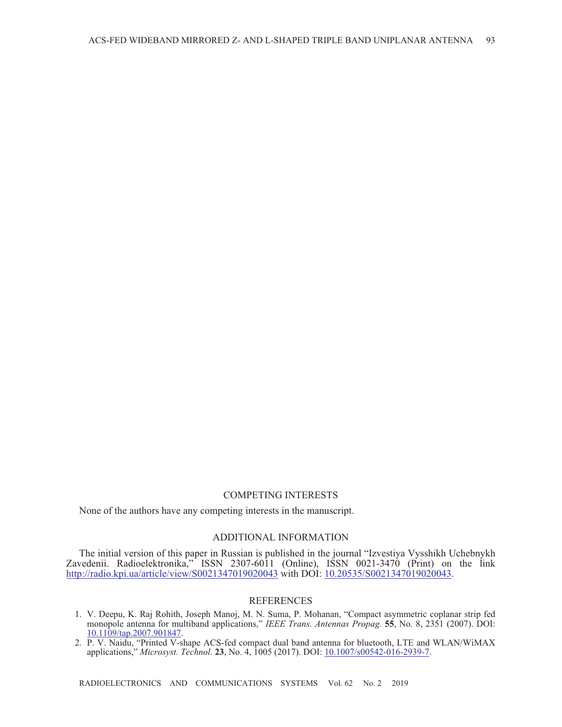## COMPETING INTERESTS

None of the authors have any competing interests in the manuscript.

#### ADDITIONAL INFORMATION

The initial version of this paper in Russian is published in the journal "Izvestiya Vysshikh Uchebnykh Zavedenii. Radioelektronika," ISSN 2307-6011 (Online), ISSN 0021-3470 (Print) on the link <http://radio.kpi.ua/article/view/S0021347019020043> with DOI: [10.20535/S0021347019020043.](http://doi.org/10.20535/S0021347019020043)

#### REFERENCES

- 1. V. Deepu, K. Raj Rohith, Joseph Manoj, M. N. Suma, P. Mohanan, "Compact asymmetric coplanar strip fed monopole antenna for multiband applications," *IEEE Trans. Antennas Propag.* **55**, No. 8, 2351 (2007). DOI: [10.1109/tap.2007.901847](https://doi.org/10.1109/tap.2007.901847).
- 2. P. V. Naidu, "Printed V-shape ACS-fed compact dual band antenna for bluetooth, LTE and WLAN/WiMAX applications," *Microsyst. Technol.* **23**, No. 4, 1005 (2017). DOI: [10.1007/s00542-016-2939-7.](http://dx.doi.org/10.1007/s00542-016-2939-7)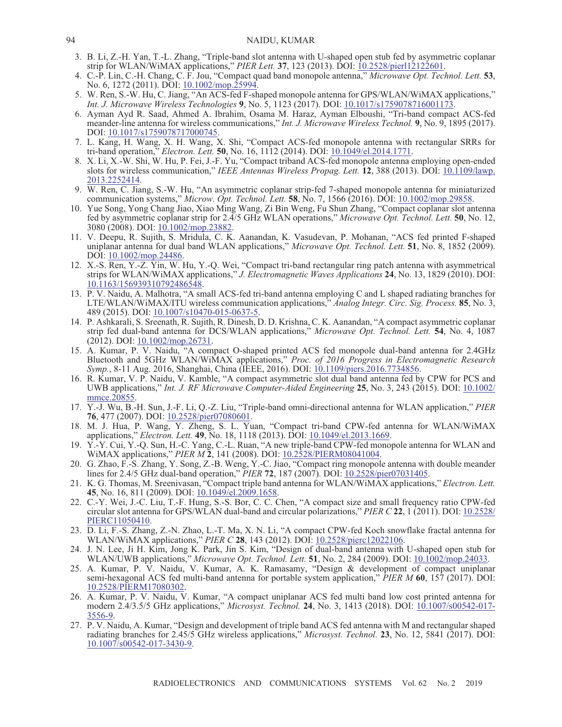- 3. B. Li, Z.-H. Yan, T.-L. Zhang, "Triple-band slot antenna with U-shaped open stub fed by asymmetric coplanar strip for WLAN/WiMAX applications," *PIER Lett.* **37**, 123 (2013). DOI: [10.2528/pierl12122601](https://doi.org/10.2528/pierl12122601).
- 4. C.-P. Lin, C.-H. Chang, C. F. Jou, "Compact quad band monopole antenna," *Microwave Opt. Technol. Lett.* **53**, No. 6, 1272 (2011). DOI: [10.1002/mop.25994.](https://doi.org/10.1002/mop.25994)
- 5. W. Ren, S.-W. Hu, C. Jiang, "An ACS-fed F-shaped monopole antenna for GPS/WLAN/WiMAX applications," *Int. J. Microwave Wireless Technologies* **9**, No. 5, 1123 (2017). DOI: [10.1017/s1759078716001173](https://doi.org/10.1017/s1759078716001173).
- 6. Ayman Ayd R. Saad, Ahmed A. Ibrahim, Osama M. Haraz, Ayman Elboushi, "Tri-band compact ACS-fed meander-line antenna for wireless communications," *Int. J. Microwave Wireless Technol.* **9**, No. 9, 1895 (2017). DOI: [10.1017/s1759078717000745](https://doi.org/10.1017/s1759078717000745).
- 7. L. Kang, H. Wang, X. H. Wang, X. Shi, "Compact ACS-fed monopole antenna with rectangular SRRs for tri-band operation," *Electron. Lett.* **50**, No. 16, 1112 (2014). DOI: [10.1049/el.2014.1771](https://doi.org/10.1049/el.2014.1771).
- 8. X. Li, X.-W. Shi, W. Hu, P. Fei, J.-F. Yu, "Compact triband ACS-fed monopole antenna employing open-ended slots for wireless communication," *IEEE Antennas Wireless Propag. Lett.* **12**, 388 (2013). DOI: [10.1109/lawp.](https://doi.org/10.1109/lawp.2013.2252414) [2013.2252414](https://doi.org/10.1109/lawp.2013.2252414).
- 9. W. Ren, C. Jiang, S.-W. Hu, "An asymmetric coplanar strip-fed 7-shaped monopole antenna for miniaturized communication systems," *Microw. Opt. Technol. Lett.* **58**, No. 7, 1566 (2016). DOI: [10.1002/mop.29858.](https://doi.org/10.1002/mop.29858)
- 10. Yue Song, Yong Chang Jiao, Xiao Ming Wang, Zi Bin Weng, Fu Shun Zhang, "Compact coplanar slot antenna fed by asymmetric coplanar strip for 2.4/5 GHz WLAN operations," *Microwave Opt. Technol. Lett.* **50**, No. 12, 3080 (2008). DOI: 10.1002/mop.23882
- 11. V. Deepu, R. Sujith, S. Mridula, C. K. Aanandan, K. Vasudevan, P. Mohanan, "ACS fed printed F-shaped uniplanar antenna for dual band WLAN applications," *Microwave Opt. Technol. Lett.* **51**, No. 8, 1852 (2009). DOI: [10.1002/mop.24486](https://doi.org/10.1002/mop.24486).
- 12. X.-S. Ren, Y.-Z. Yin, W. Hu, Y.-Q. Wei, "Compact tri-band rectangular ring patch antenna with asymmetrical strips for WLAN/WiMAX applications," *J. Electromagnetic Waves Applications* **24**, No. 13, 1829 (2010). DOI: [10.1163/156939310792486548](https://doi.org/10.1163/156939310792486548).
- 13. P. V. Naidu, A. Malhotra, "A small ACS-fed tri-band antenna employing C and L shaped radiating branches for LTE/WLAN/WiMAX/ITU wireless communication applications," *Analog Integr. Circ. Sig. Process.* **85**, No. 3, 489 (2015). DOI: [10.1007/s10470-015-0637-5](http://dx.doi.org/10.1007/s10470-015-0637-5).
- 14. P. Ashkarali, S. Sreenath, R. Sujith, R. Dinesh, D. D. Krishna, C. K. Aanandan, "A compact asymmetric coplanar strip fed dual-band antenna for DCS/WLAN applications," *Microwave Opt. Technol. Lett.* **54**, No. 4, 1087 (2012). DOI: [10.1002/mop.26731](https://doi.org/10.1002/mop.26731).
- 15. A. Kumar, P. V. Naidu, "A compact O-shaped printed ACS fed monopole dual-band antenna for 2.4GHz Bluetooth and 5GHz WLAN/WiMAX applications," *Proc. of 2016 Progress in Electromagnetic Research Symp.*, 8-11 Aug. 2016, Shanghai, China (IEEE, 2016). DOI: [10.1109/piers.2016.7734856.](http://dx.doi.org/10.1109/piers.2016.7734856)
- 16. R. Kumar, V. P. Naidu, V. Kamble, "A compact asymmetric slot dual band antenna fed by CPW for PCS and UWB applications," *Int. J. RF Microwave Computer-Aided Engineering* **25**, No. 3, 243 (2015). DOI: [10.1002/](http://dx.doi.org/10.1002/mmce.20855) [mmce.20855.](http://dx.doi.org/10.1002/mmce.20855)
- 17. Y.-J. Wu, B.-H. Sun, J.-F. Li, Q.-Z. Liu, "Triple-band omni-directional antenna for WLAN application," *PIER* **76**, 477 (2007). DOI: [10.2528/pier07080601.](https://doi.org/10.2528/pier07080601)
- 18. M. J. Hua, P. Wang, Y. Zheng, S. L. Yuan, "Compact tri-band CPW-fed antenna for WLAN/WiMAX applications," *Electron. Lett.* **49**, No. 18, 1118 (2013). DOI: [10.1049/el.2013.1669.](https://doi.org/10.1049/el.2013.1669)
- 19. Y.-Y. Cui, Y.-Q. Sun, H.-C. Yang, C.-L. Ruan, "A new triple-band CPW-fed monopole antenna for WLAN and WiMAX applications," *PIER M* **2**, 141 (2008). DOI: [10.2528/PIERM08041004.](http://doi.org/10.2528/PIERM08041004)
- 20. G. Zhao, F.-S. Zhang, Y. Song, Z.-B. Weng, Y.-C. Jiao, "Compact ring monopole antenna with double meander lines for 2.4/5 GHz dual-band operation," *PIER* **72**, 187 (2007). DOI: [10.2528/pier07031405](https://doi.org/10.2528/pier07031405).
- 21. K. G. Thomas, M. Sreenivasan, "Compact triple band antenna for WLAN/WiMAX applications," *Electron. Lett.* **45**, No. 16, 811 (2009). DOI: [10.1049/el.2009.1658.](https://doi.org/10.1049/el.2009.1658)
- 22. C.-Y. Wei, J.-C. Liu, T.-F. Hung, S.-S. Bor, C. C. Chen, "A compact size and small frequency ratio CPW-fed circular slot antenna for GPS/WLAN dual-band and circular polarizations," *PIER C* **22**, 1 (2011). DOI: [10.2528/](http://doi.org/10.2528/PIERC11050410) [PIERC11050410](http://doi.org/10.2528/PIERC11050410).
- 23. D. Li, F.-S. Zhang, Z.-N. Zhao, L.-T. Ma, X. N. Li, "A compact CPW-fed Koch snowflake fractal antenna for WLAN/WiMAX applications," *PIER C* **28**, 143 (2012). DOI: [10.2528/pierc12022106](https://doi.org/10.2528/pierc12022106).
- 24. J. N. Lee, Ji H. Kim, Jong K. Park, Jin S. Kim, "Design of dual-band antenna with U-shaped open stub for WLAN/UWB applications," *Microwave Opt. Technol. Lett.* **51**, No. 2, 284 (2009). DOI: [10.1002/mop.24033](https://doi.org/10.1002/mop.24033).
- 25. A. Kumar, P. V. Naidu, V. Kumar, A. K. Ramasamy, "Design & development of compact uniplanar semi-hexagonal ACS fed multi-band antenna for portable system application," *PIER M* **60**, 157 (2017). DOI: [10.2528/PIERM17080302.](http://doi.org/10.2528/PIERM17080302)
- 26. A. Kumar, P. V. Naidu, V. Kumar, "A compact uniplanar ACS fed multi band low cost printed antenna for modern 2.4/3.5/5 GHz applications," *Microsyst. Technol.* **24**, No. 3, 1413 (2018). DOI: [10.1007/s00542-017-](https://doi.org/10.1007/s00542-017-3556-9) [3556-9](https://doi.org/10.1007/s00542-017-3556-9).
- 27. P. V. Naidu, A. Kumar, "Design and development of triple band ACS fed antenna with M and rectangular shaped radiating branches for 2.45/5 GHz wireless applications," *Microsyst. Technol.* **23**, No. 12, 5841 (2017). DOI: [10.1007/s00542-017-3430-9.](http://dx.doi.org/10.1007/s00542-017-3430-9)